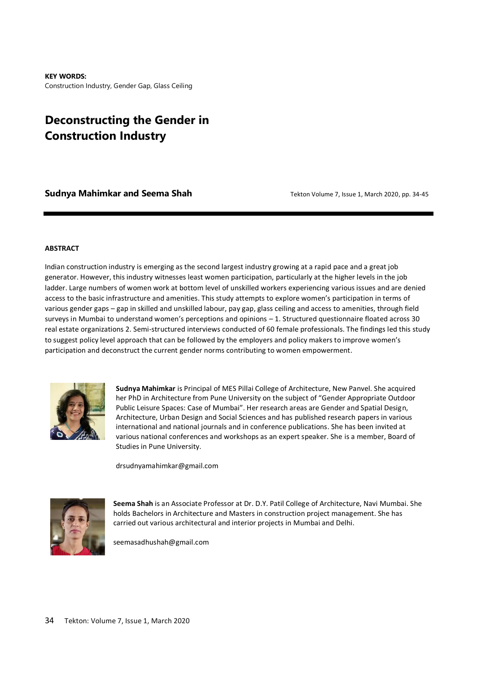**KEY WORDS:**  Construction Industry, Gender Gap, Glass Ceiling

# **Deconstructing the Gender in Construction Industry**

**Sudnya Mahimkar and Seema Shah**<br> **Sudnya Mahimkar and Seema Shah**<br> **Tekton Volume 7, Issue 1, March 2020, pp. 34-45** 

#### **ABSTRACT**

Indian construction industry is emerging as the second largest industry growing at a rapid pace and a great job generator. However, this industry witnesses least women participation, particularly at the higher levels in the job ladder. Large numbers of women work at bottom level of unskilled workers experiencing various issues and are denied access to the basic infrastructure and amenities. This study attempts to explore women's participation in terms of various gender gaps – gap in skilled and unskilled labour, pay gap, glass ceiling and access to amenities, through field surveys in Mumbai to understand women's perceptions and opinions – 1. Structured questionnaire floated across 30 real estate organizations 2. Semi-structured interviews conducted of 60 female professionals. The findings led this study to suggest policy level approach that can be followed by the employers and policy makers to improve women's participation and deconstruct the current gender norms contributing to women empowerment.



**Sudnya Mahimkar** is Principal of MES Pillai College of Architecture, New Panvel. She acquired her PhD in Architecture from Pune University on the subject of "Gender Appropriate Outdoor Public Leisure Spaces: Case of Mumbai". Her research areas are Gender and Spatial Design, Architecture, Urban Design and Social Sciences and has published research papers in various international and national journals and in conference publications. She has been invited at various national conferences and workshops as an expert speaker. She is a member, Board of Studies in Pune University.

drsudnyamahimkar@gmail.com



**Seema Shah** is an Associate Professor at Dr. D.Y. Patil College of Architecture, Navi Mumbai. She holds Bachelors in Architecture and Masters in construction project management. She has carried out various architectural and interior projects in Mumbai and Delhi.

seemasadhushah@gmail.com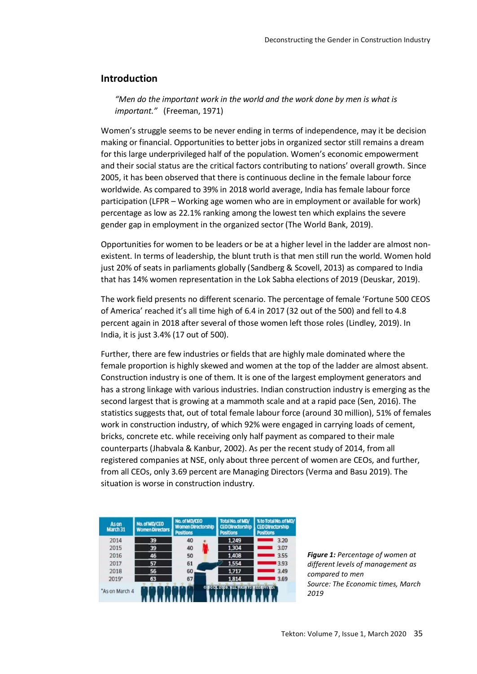# **Introduction**

*"Men do the important work in the world and the work done by men is what is important."* (Freeman, 1971)

Women's struggle seems to be never ending in terms of independence, may it be decision making or financial. Opportunities to better jobs in organized sector still remains a dream for this large underprivileged half of the population. Women's economic empowerment and their social status are the critical factors contributing to nations' overall growth. Since 2005, it has been observed that there is continuous decline in the female labour force worldwide. As compared to 39% in 2018 world average, India has female labour force participation (LFPR – Working age women who are in employment or available for work) percentage as low as 22.1% ranking among the lowest ten which explains the severe gender gap in employment in the organized sector (The World Bank, 2019).

Opportunities for women to be leaders or be at a higher level in the ladder are almost nonexistent. In terms of leadership, the blunt truth is that men still run the world. Women hold just 20% of seats in parliaments globally (Sandberg & Scovell, 2013) as compared to India that has 14% women representation in the Lok Sabha elections of 2019 (Deuskar, 2019).

The work field presents no different scenario. The percentage of female 'Fortune 500 CEOS of America' reached it's all time high of 6.4 in 2017 (32 out of the 500) and fell to 4.8 percent again in 2018 after several of those women left those roles (Lindley, 2019). In India, it is just 3.4% (17 out of 500).

Further, there are few industries or fields that are highly male dominated where the female proportion is highly skewed and women at the top of the ladder are almost absent. Construction industry is one of them. It is one of the largest employment generators and has a strong linkage with various industries. Indian construction industry is emerging as the second largest that is growing at a mammoth scale and at a rapid pace (Sen, 2016). The statistics suggests that, out of total female labour force (around 30 million), 51% of females work in construction industry, of which 92% were engaged in carrying loads of cement, bricks, concrete etc. while receiving only half payment as compared to their male counterparts (Jhabvala & Kanbur, 2002). As per the recent study of 2014, from all registered companies at NSE, only about three percent of women are CEOs, and further, from all CEOs, only 3.69 percent are Managing Directors (Verma and Basu 2019). The situation is worse in construction industry.



*Figure 1: Percentage of women at different levels of management as compared to men Source: The Economic times, March 2019*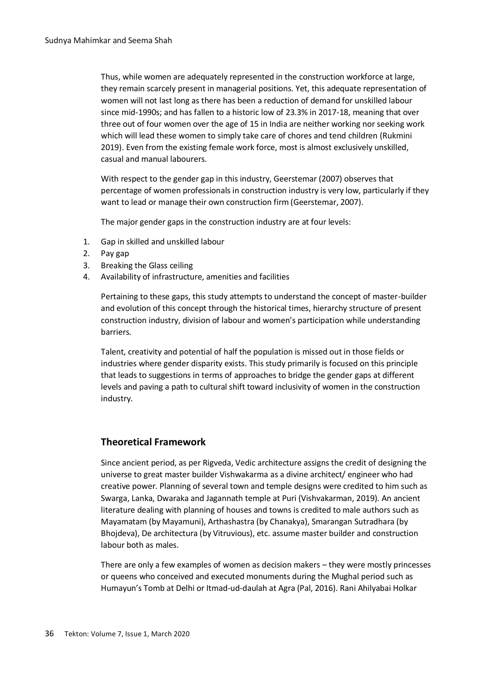Thus, while women are adequately represented in the construction workforce at large, they remain scarcely present in managerial positions. Yet, this adequate representation of women will not last long as there has been a reduction of demand for unskilled labour since mid-1990s; and has fallen to a historic low of 23.3% in 2017-18, meaning that over three out of four women over the age of 15 in India are neither working nor seeking work which will lead these women to simply take care of chores and tend children (Rukmini 2019). Even from the existing female work force, most is almost exclusively unskilled, casual and manual labourers.

With respect to the gender gap in this industry, Geerstemar (2007) observes that percentage of women professionals in construction industry is very low, particularly if they want to lead or manage their own construction firm (Geerstemar, 2007).

The major gender gaps in the construction industry are at four levels:

- 1. Gap in skilled and unskilled labour
- 2. Pay gap
- 3. Breaking the Glass ceiling
- 4. Availability of infrastructure, amenities and facilities

Pertaining to these gaps, this study attempts to understand the concept of master-builder and evolution of this concept through the historical times, hierarchy structure of present construction industry, division of labour and women's participation while understanding barriers.

Talent, creativity and potential of half the population is missed out in those fields or industries where gender disparity exists. This study primarily is focused on this principle that leads to suggestions in terms of approaches to bridge the gender gaps at different levels and paving a path to cultural shift toward inclusivity of women in the construction industry.

# **Theoretical Framework**

Since ancient period, as per Rigveda, Vedic architecture assigns the credit of designing the universe to great master builder Vishwakarma as a divine architect/ engineer who had creative power. Planning of several town and temple designs were credited to him such as Swarga, Lanka, Dwaraka and Jagannath temple at Puri (Vishvakarman, 2019). An ancient literature dealing with planning of houses and towns is credited to male authors such as Mayamatam (by Mayamuni), Arthashastra (by Chanakya), Smarangan Sutradhara (by Bhojdeva), De architectura (by Vitruvious), etc. assume master builder and construction labour both as males.

There are only a few examples of women as decision makers – they were mostly princesses or queens who conceived and executed monuments during the Mughal period such as Humayun's Tomb at Delhi or Itmad-ud-daulah at Agra (Pal, 2016). Rani Ahilyabai Holkar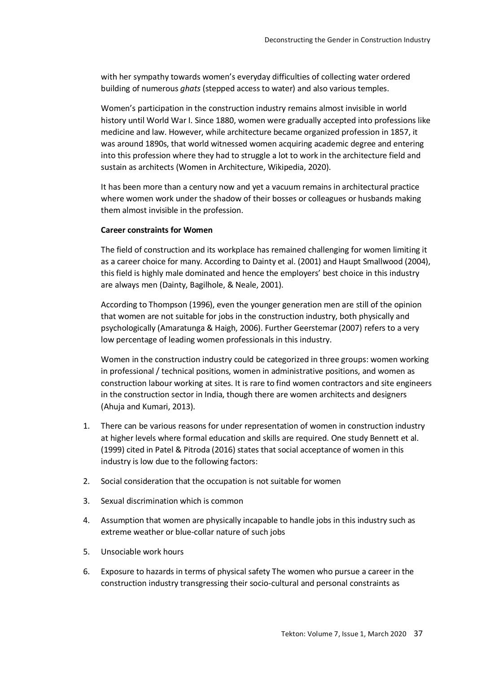with her sympathy towards women's everyday difficulties of collecting water ordered building of numerous *ghats* (stepped access to water) and also various temples.

Women's participation in the construction industry remains almost invisible in world history until World War I. Since 1880, women were gradually accepted into professions like medicine and law. However, while architecture became organized profession in 1857, it was around 1890s, that world witnessed women acquiring academic degree and entering into this profession where they had to struggle a lot to work in the architecture field and sustain as architects (Women in Architecture, Wikipedia, 2020).

It has been more than a century now and yet a vacuum remains in architectural practice where women work under the shadow of their bosses or colleagues or husbands making them almost invisible in the profession.

#### **Career constraints for Women**

The field of construction and its workplace has remained challenging for women limiting it as a career choice for many. According to Dainty et al. (2001) and Haupt Smallwood (2004), this field is highly male dominated and hence the employers' best choice in this industry are always men (Dainty, Bagilhole, & Neale, 2001).

According to Thompson (1996), even the younger generation men are still of the opinion that women are not suitable for jobs in the construction industry, both physically and psychologically (Amaratunga & Haigh, 2006). Further Geerstemar (2007) refers to a very low percentage of leading women professionals in this industry.

Women in the construction industry could be categorized in three groups: women working in professional / technical positions, women in administrative positions, and women as construction labour working at sites. It is rare to find women contractors and site engineers in the construction sector in India, though there are women architects and designers (Ahuja and Kumari, 2013).

- 1. There can be various reasons for under representation of women in construction industry at higher levels where formal education and skills are required. One study Bennett et al. (1999) cited in Patel & Pitroda (2016) states that social acceptance of women in this industry is low due to the following factors:
- 2. Social consideration that the occupation is not suitable for women
- 3. Sexual discrimination which is common
- 4. Assumption that women are physically incapable to handle jobs in this industry such as extreme weather or blue-collar nature of such jobs
- 5. Unsociable work hours
- 6. Exposure to hazards in terms of physical safety The women who pursue a career in the construction industry transgressing their socio-cultural and personal constraints as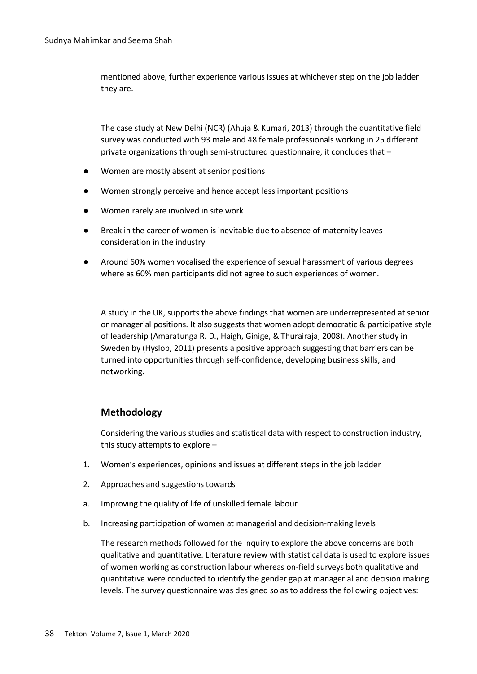mentioned above, further experience various issues at whichever step on the job ladder they are.

The case study at New Delhi (NCR) (Ahuja & Kumari, 2013) through the quantitative field survey was conducted with 93 male and 48 female professionals working in 25 different private organizations through semi-structured questionnaire, it concludes that –

- Women are mostly absent at senior positions
- Women strongly perceive and hence accept less important positions
- Women rarely are involved in site work
- Break in the career of women is inevitable due to absence of maternity leaves consideration in the industry
- Around 60% women vocalised the experience of sexual harassment of various degrees where as 60% men participants did not agree to such experiences of women.

A study in the UK, supports the above findings that women are underrepresented at senior or managerial positions. It also suggests that women adopt democratic & participative style of leadership (Amaratunga R. D., Haigh, Ginige, & Thurairaja, 2008). Another study in Sweden by (Hyslop, 2011) presents a positive approach suggesting that barriers can be turned into opportunities through self-confidence, developing business skills, and networking.

# **Methodology**

Considering the various studies and statistical data with respect to construction industry, this study attempts to explore –

- 1. Women's experiences, opinions and issues at different steps in the job ladder
- 2. Approaches and suggestions towards
- a. Improving the quality of life of unskilled female labour
- b. Increasing participation of women at managerial and decision-making levels

The research methods followed for the inquiry to explore the above concerns are both qualitative and quantitative. Literature review with statistical data is used to explore issues of women working as construction labour whereas on-field surveys both qualitative and quantitative were conducted to identify the gender gap at managerial and decision making levels. The survey questionnaire was designed so as to address the following objectives: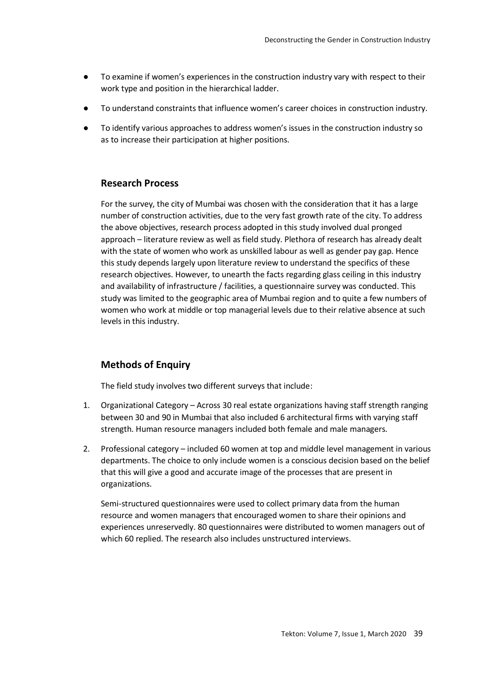- To examine if women's experiences in the construction industry vary with respect to their work type and position in the hierarchical ladder.
- To understand constraints that influence women's career choices in construction industry.
- To identify various approaches to address women's issues in the construction industry so as to increase their participation at higher positions.

## **Research Process**

For the survey, the city of Mumbai was chosen with the consideration that it has a large number of construction activities, due to the very fast growth rate of the city. To address the above objectives, research process adopted in this study involved dual pronged approach – literature review as well as field study. Plethora of research has already dealt with the state of women who work as unskilled labour as well as gender pay gap. Hence this study depends largely upon literature review to understand the specifics of these research objectives. However, to unearth the facts regarding glass ceiling in this industry and availability of infrastructure / facilities, a questionnaire survey was conducted. This study was limited to the geographic area of Mumbai region and to quite a few numbers of women who work at middle or top managerial levels due to their relative absence at such levels in this industry.

### **Methods of Enquiry**

The field study involves two different surveys that include:

- 1. Organizational Category Across 30 real estate organizations having staff strength ranging between 30 and 90 in Mumbai that also included 6 architectural firms with varying staff strength. Human resource managers included both female and male managers.
- 2. Professional category included 60 women at top and middle level management in various departments. The choice to only include women is a conscious decision based on the belief that this will give a good and accurate image of the processes that are present in organizations.

Semi-structured questionnaires were used to collect primary data from the human resource and women managers that encouraged women to share their opinions and experiences unreservedly. 80 questionnaires were distributed to women managers out of which 60 replied. The research also includes unstructured interviews.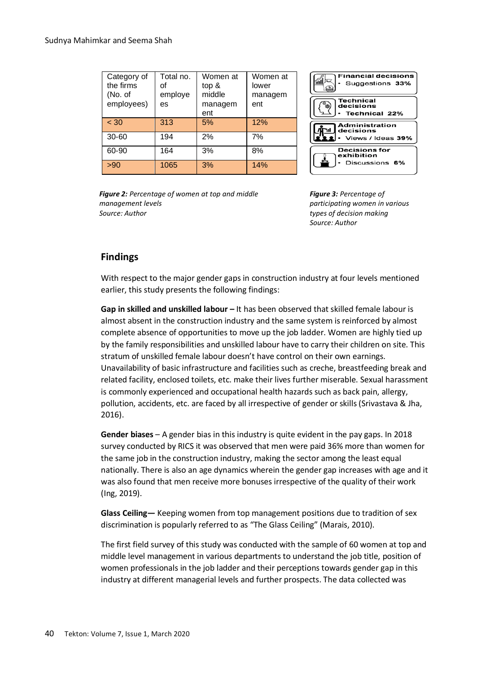| Category of<br>the firms<br>(No. of<br>employees) | Total no.<br>of<br>employe<br>es | Women at<br>top &<br>middle<br>managem<br>ent | Women at<br>lower<br>managem<br>ent |
|---------------------------------------------------|----------------------------------|-----------------------------------------------|-------------------------------------|
| < 30                                              | 313                              | 5%                                            | 12%                                 |
| $30 - 60$                                         | 194                              | 2%                                            | 7%                                  |
| 60-90                                             | 164                              | 3%                                            | 8%                                  |
| >90                                               | 1065                             | 3%                                            | 14%                                 |



*Figure 2: Percentage of women at top and middle management levels Source: Author*

*Figure 3: Percentage of participating women in various types of decision making Source: Author*

# **Findings**

With respect to the major gender gaps in construction industry at four levels mentioned earlier, this study presents the following findings:

**Gap in skilled and unskilled labour –** It has been observed that skilled female labour is almost absent in the construction industry and the same system is reinforced by almost complete absence of opportunities to move up the job ladder. Women are highly tied up by the family responsibilities and unskilled labour have to carry their children on site. This stratum of unskilled female labour doesn't have control on their own earnings. Unavailability of basic infrastructure and facilities such as creche, breastfeeding break and related facility, enclosed toilets, etc. make their lives further miserable. Sexual harassment is commonly experienced and occupational health hazards such as back pain, allergy, pollution, accidents, etc. are faced by all irrespective of gender or skills (Srivastava & Jha, 2016).

**Gender biases** – A gender bias in this industry is quite evident in the pay gaps. In 2018 survey conducted by RICS it was observed that men were paid 36% more than women for the same job in the construction industry, making the sector among the least equal nationally. There is also an age dynamics wherein the gender gap increases with age and it was also found that men receive more bonuses irrespective of the quality of their work (Ing, 2019).

**Glass Ceiling—** Keeping women from top management positions due to tradition of sex discrimination is popularly referred to as "The Glass Ceiling" (Marais, 2010).

The first field survey of this study was conducted with the sample of 60 women at top and middle level management in various departments to understand the job title, position of women professionals in the job ladder and their perceptions towards gender gap in this industry at different managerial levels and further prospects. The data collected was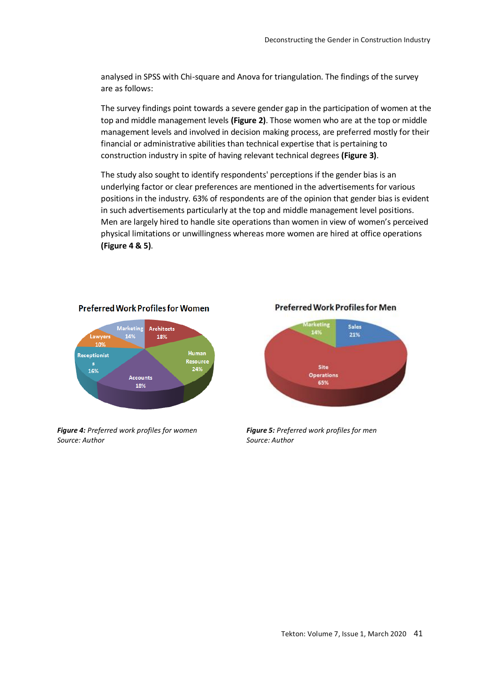analysed in SPSS with Chi-square and Anova for triangulation. The findings of the survey are as follows:

The survey findings point towards a severe gender gap in the participation of women at the top and middle management levels **(Figure 2)**. Those women who are at the top or middle management levels and involved in decision making process, are preferred mostly for their financial or administrative abilities than technical expertise that is pertaining to construction industry in spite of having relevant technical degrees **(Figure 3)**.

The study also sought to identify respondents' perceptions if the gender bias is an underlying factor or clear preferences are mentioned in the advertisements for various positions in the industry. 63% of respondents are of the opinion that gender bias is evident in such advertisements particularly at the top and middle management level positions. Men are largely hired to handle site operations than women in view of women's perceived physical limitations or unwillingness whereas more women are hired at office operations **(Figure 4 & 5)**.

#### **Preferred Work Profiles for Women** .<br>Marketing **Architects**  $14<sup>o</sup>$ Lawyer: 18% Human Receptionist 16% 24% Accounts 18%

*Figure 4: Preferred work profiles for women Source: Author*





*Figure 5: Preferred work profiles for men Source: Author*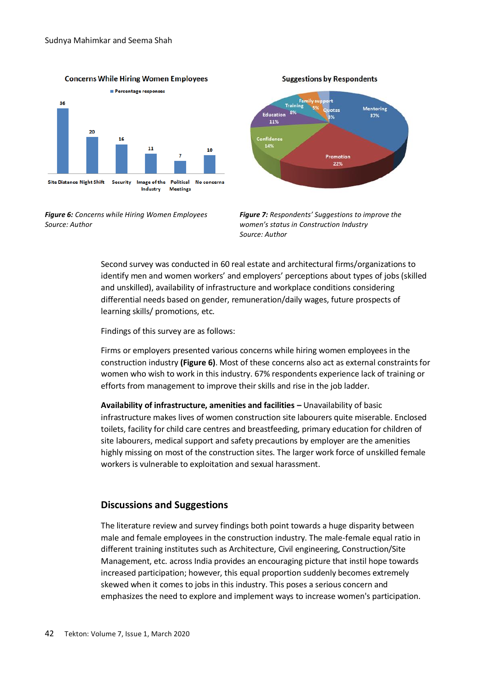

**Concerns While Hiring Women Employees** 

*Figure 6: Concerns while Hiring Women Employees Source: Author*



**Suggestions by Respondents** 

*Figure 7: Respondents' Suggestions to improve the women's status in Construction Industry Source: Author*

Second survey was conducted in 60 real estate and architectural firms/organizations to identify men and women workers' and employers' perceptions about types of jobs (skilled and unskilled), availability of infrastructure and workplace conditions considering differential needs based on gender, remuneration/daily wages, future prospects of learning skills/ promotions, etc.

Findings of this survey are as follows:

Firms or employers presented various concerns while hiring women employees in the construction industry **(Figure 6)**. Most of these concerns also act as external constraints for women who wish to work in this industry. 67% respondents experience lack of training or efforts from management to improve their skills and rise in the job ladder.

**Availability of infrastructure, amenities and facilities –** Unavailability of basic infrastructure makes lives of women construction site labourers quite miserable. Enclosed toilets, facility for child care centres and breastfeeding, primary education for children of site labourers, medical support and safety precautions by employer are the amenities highly missing on most of the construction sites. The larger work force of unskilled female workers is vulnerable to exploitation and sexual harassment.

# **Discussions and Suggestions**

The literature review and survey findings both point towards a huge disparity between male and female employees in the construction industry. The male-female equal ratio in different training institutes such as Architecture, Civil engineering, Construction/Site Management, etc. across India provides an encouraging picture that instil hope towards increased participation; however, this equal proportion suddenly becomes extremely skewed when it comes to jobs in this industry. This poses a serious concern and emphasizes the need to explore and implement ways to increase women's participation.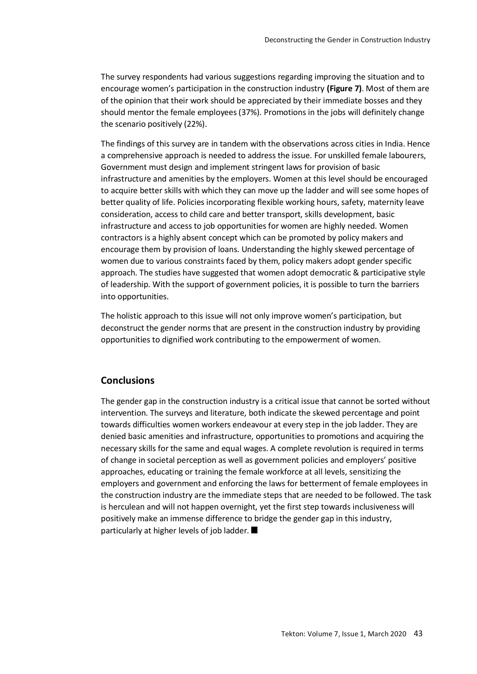The survey respondents had various suggestions regarding improving the situation and to encourage women's participation in the construction industry **(Figure 7)**. Most of them are of the opinion that their work should be appreciated by their immediate bosses and they should mentor the female employees (37%). Promotions in the jobs will definitely change the scenario positively (22%).

The findings of this survey are in tandem with the observations across cities in India. Hence a comprehensive approach is needed to address the issue. For unskilled female labourers, Government must design and implement stringent laws for provision of basic infrastructure and amenities by the employers. Women at this level should be encouraged to acquire better skills with which they can move up the ladder and will see some hopes of better quality of life. Policies incorporating flexible working hours, safety, maternity leave consideration, access to child care and better transport, skills development, basic infrastructure and access to job opportunities for women are highly needed. Women contractors is a highly absent concept which can be promoted by policy makers and encourage them by provision of loans. Understanding the highly skewed percentage of women due to various constraints faced by them, policy makers adopt gender specific approach. The studies have suggested that women adopt democratic & participative style of leadership. With the support of government policies, it is possible to turn the barriers into opportunities.

The holistic approach to this issue will not only improve women's participation, but deconstruct the gender norms that are present in the construction industry by providing opportunities to dignified work contributing to the empowerment of women.

# **Conclusions**

The gender gap in the construction industry is a critical issue that cannot be sorted without intervention. The surveys and literature, both indicate the skewed percentage and point towards difficulties women workers endeavour at every step in the job ladder. They are denied basic amenities and infrastructure, opportunities to promotions and acquiring the necessary skills for the same and equal wages. A complete revolution is required in terms of change in societal perception as well as government policies and employers' positive approaches, educating or training the female workforce at all levels, sensitizing the employers and government and enforcing the laws for betterment of female employees in the construction industry are the immediate steps that are needed to be followed. The task is herculean and will not happen overnight, yet the first step towards inclusiveness will positively make an immense difference to bridge the gender gap in this industry, particularly at higher levels of job ladder.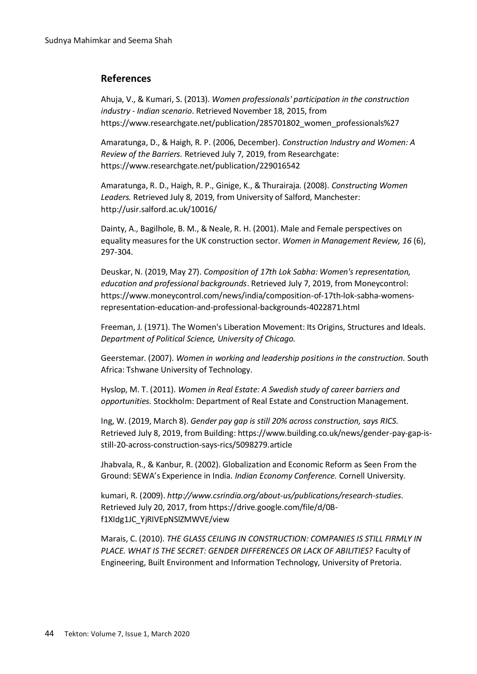# **References**

Ahuja, V., & Kumari, S. (2013). *Women professionals' participation in the construction industry - Indian scenario*. Retrieved November 18, 2015, from https://www.researchgate.net/publication/285701802 women\_professionals%27

Amaratunga, D., & Haigh, R. P. (2006, December). *Construction Industry and Women: A Review of the Barriers.* Retrieved July 7, 2019, from Researchgate: https://www.researchgate.net/publication/229016542

Amaratunga, R. D., Haigh, R. P., Ginige, K., & Thurairaja. (2008). *Constructing Women Leaders.* Retrieved July 8, 2019, from University of Salford, Manchester: http://usir.salford.ac.uk/10016/

Dainty, A., Bagilhole, B. M., & Neale, R. H. (2001). Male and Female perspectives on equality measures for the UK construction sector. *Women in Management Review, 16* (6), 297-304.

Deuskar, N. (2019, May 27). *Composition of 17th Lok Sabha: Women's representation, education and professional backgrounds*. Retrieved July 7, 2019, from Moneycontrol: https://www.moneycontrol.com/news/india/composition-of-17th-lok-sabha-womensrepresentation-education-and-professional-backgrounds-4022871.html

Freeman, J. (1971). The Women's Liberation Movement: Its Origins, Structures and Ideals. *Department of Political Science, University of Chicago.*

Geerstemar. (2007). *Women in working and leadership positions in the construction.* South Africa: Tshwane University of Technology.

Hyslop, M. T. (2011). *Women in Real Estate: A Swedish study of career barriers and opportunities.* Stockholm: Department of Real Estate and Construction Management.

Ing, W. (2019, March 8). *Gender pay gap is still 20% across construction, says RICS.* Retrieved July 8, 2019, from Building: https://www.building.co.uk/news/gender-pay-gap-isstill-20-across-construction-says-rics/5098279.article

Jhabvala, R., & Kanbur, R. (2002). Globalization and Economic Reform as Seen From the Ground: SEWA's Experience in India. *Indian Economy Conference.* Cornell University.

kumari, R. (2009). *http://www.csrindia.org/about-us/publications/research-studies*. Retrieved July 20, 2017, from https://drive.google.com/file/d/0Bf1XIdg1JC\_YjRIVEpNSlZMWVE/view

Marais, C. (2010). *THE GLASS CEILING IN CONSTRUCTION: COMPANIES IS STILL FIRMLY IN PLACE. WHAT IS THE SECRET: GENDER DIFFERENCES OR LACK OF ABILITIES?* Faculty of Engineering, Built Environment and Information Technology, University of Pretoria.